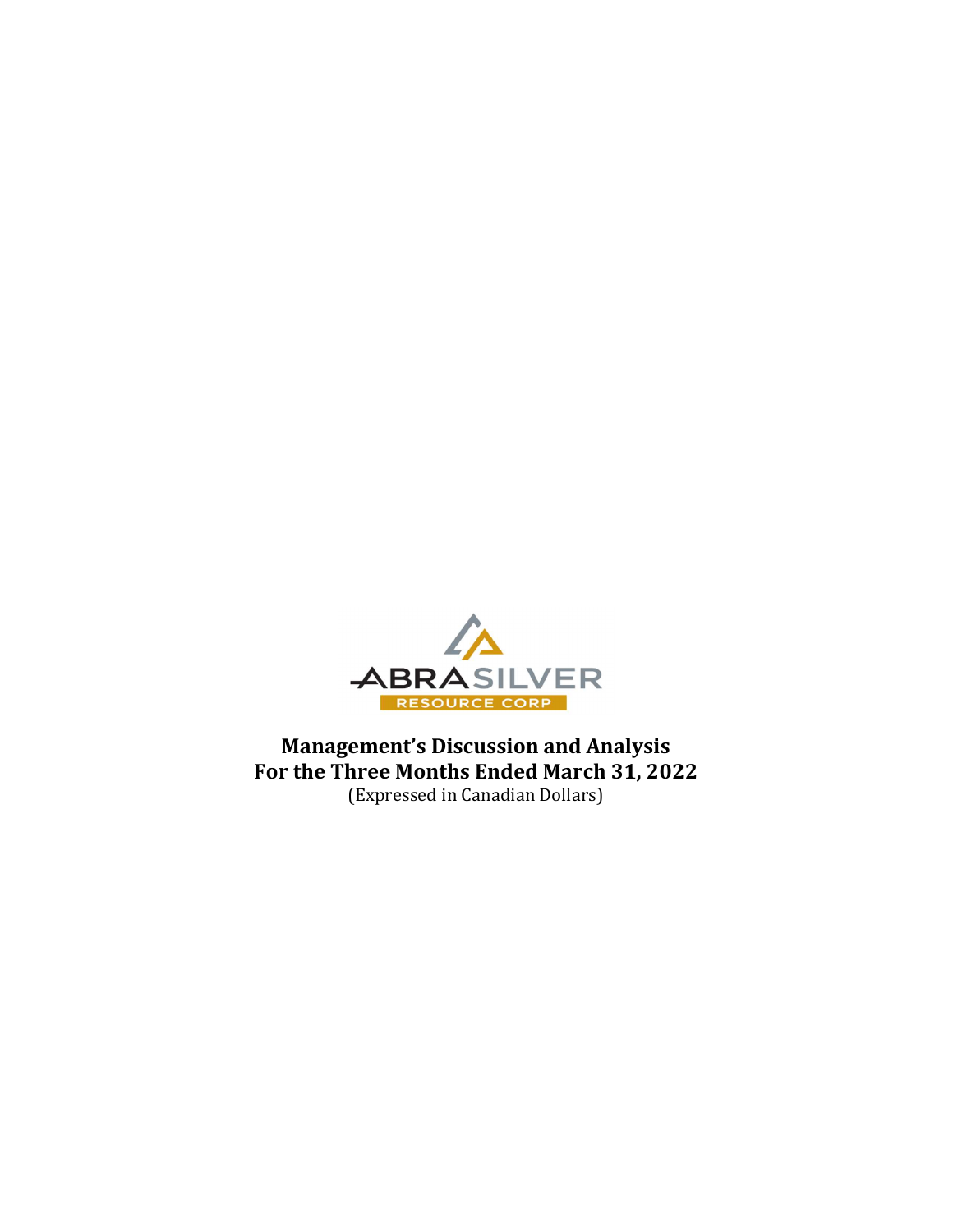

Management's Discussion and Analysis For the Three Months Ended March 31, 2022 (Expressed in Canadian Dollars)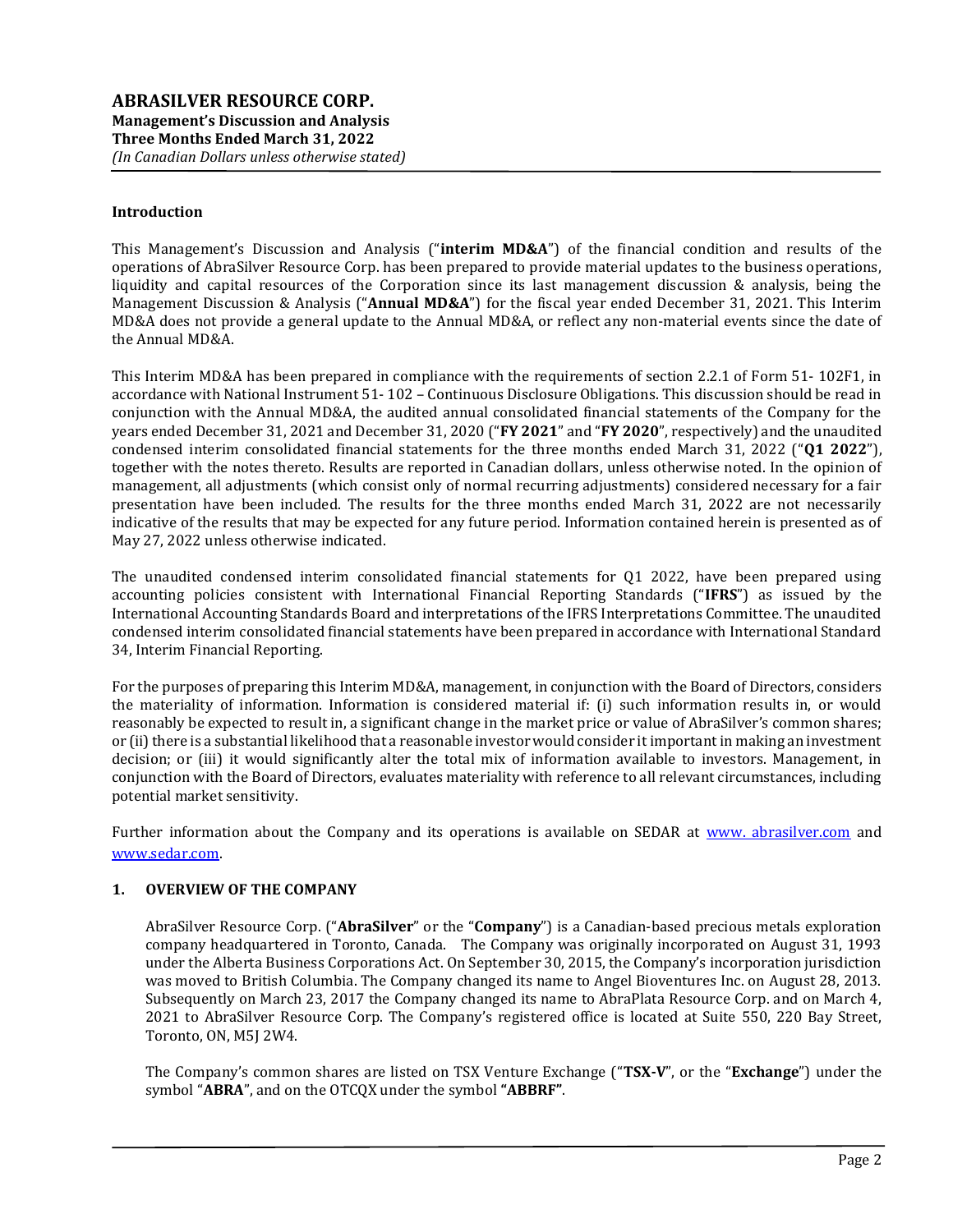#### Introduction

This Management's Discussion and Analysis ("interim MD&A") of the financial condition and results of the operations of AbraSilver Resource Corp. has been prepared to provide material updates to the business operations, liquidity and capital resources of the Corporation since its last management discussion & analysis, being the Management Discussion & Analysis ("Annual MD&A") for the fiscal year ended December 31, 2021. This Interim MD&A does not provide a general update to the Annual MD&A, or reflect any non-material events since the date of the Annual MD&A.

This Interim MD&A has been prepared in compliance with the requirements of section 2.2.1 of Form 51- 102F1, in accordance with National Instrument 51- 102 – Continuous Disclosure Obligations. This discussion should be read in conjunction with the Annual MD&A, the audited annual consolidated financial statements of the Company for the years ended December 31, 2021 and December 31, 2020 ("FY 2021" and "FY 2020", respectively) and the unaudited condensed interim consolidated financial statements for the three months ended March 31, 2022 ("Q1 2022"), together with the notes thereto. Results are reported in Canadian dollars, unless otherwise noted. In the opinion of management, all adjustments (which consist only of normal recurring adjustments) considered necessary for a fair presentation have been included. The results for the three months ended March 31, 2022 are not necessarily indicative of the results that may be expected for any future period. Information contained herein is presented as of May 27, 2022 unless otherwise indicated.

The unaudited condensed interim consolidated financial statements for Q1 2022, have been prepared using accounting policies consistent with International Financial Reporting Standards ("IFRS") as issued by the International Accounting Standards Board and interpretations of the IFRS Interpretations Committee. The unaudited condensed interim consolidated financial statements have been prepared in accordance with International Standard 34, Interim Financial Reporting.

For the purposes of preparing this Interim MD&A, management, in conjunction with the Board of Directors, considers the materiality of information. Information is considered material if: (i) such information results in, or would reasonably be expected to result in, a significant change in the market price or value of AbraSilver's common shares; or (ii) there is a substantial likelihood that a reasonable investor would consider it important in making an investment decision; or (iii) it would significantly alter the total mix of information available to investors. Management, in conjunction with the Board of Directors, evaluates materiality with reference to all relevant circumstances, including potential market sensitivity.

Further information about the Company and its operations is available on SEDAR at www. abrasilver.com and www.sedar.com.

## 1. OVERVIEW OF THE COMPANY

AbraSilver Resource Corp. ("AbraSilver" or the "Company") is a Canadian-based precious metals exploration company headquartered in Toronto, Canada. The Company was originally incorporated on August 31, 1993 under the Alberta Business Corporations Act. On September 30, 2015, the Company's incorporation jurisdiction was moved to British Columbia. The Company changed its name to Angel Bioventures Inc. on August 28, 2013. Subsequently on March 23, 2017 the Company changed its name to AbraPlata Resource Corp. and on March 4, 2021 to AbraSilver Resource Corp. The Company's registered office is located at Suite 550, 220 Bay Street, Toronto, ON, M5J 2W4.

The Company's common shares are listed on TSX Venture Exchange ("TSX-V", or the "Exchange") under the symbol "ABRA", and on the OTCQX under the symbol "ABBRF".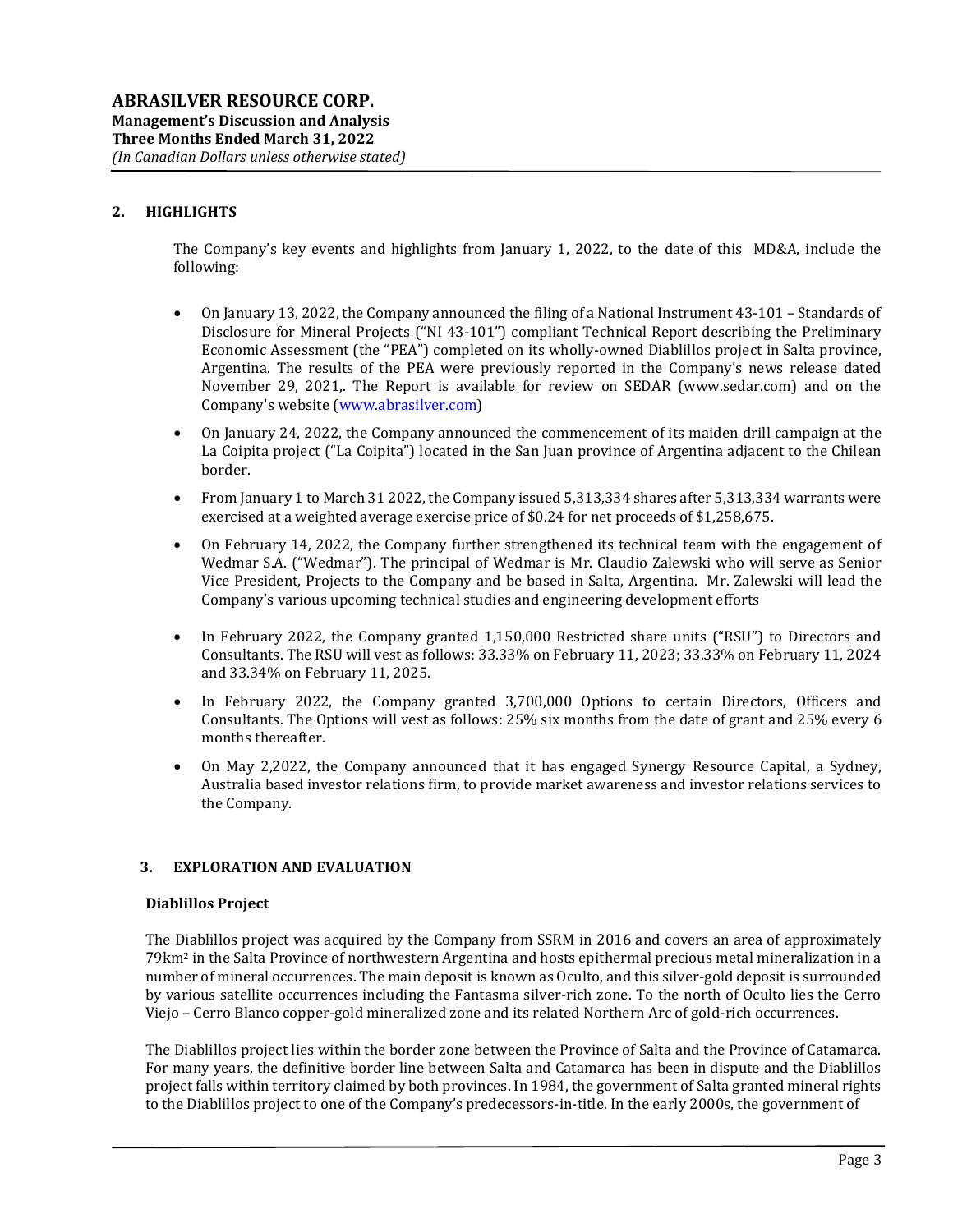## 2. HIGHLIGHTS

The Company's key events and highlights from January 1, 2022, to the date of this MD&A, include the following:

- On January 13, 2022, the Company announced the filing of a National Instrument 43-101 Standards of Disclosure for Mineral Projects ("NI 43-101") compliant Technical Report describing the Preliminary Economic Assessment (the "PEA") completed on its wholly-owned Diablillos project in Salta province, Argentina. The results of the PEA were previously reported in the Company's news release dated November 29, 2021,. The Report is available for review on SEDAR (www.sedar.com) and on the Company's website (www.abrasilver.com)
- On January 24, 2022, the Company announced the commencement of its maiden drill campaign at the La Coipita project ("La Coipita") located in the San Juan province of Argentina adjacent to the Chilean border.
- From January 1 to March 31 2022, the Company issued 5,313,334 shares after 5,313,334 warrants were exercised at a weighted average exercise price of \$0.24 for net proceeds of \$1,258,675.
- On February 14, 2022, the Company further strengthened its technical team with the engagement of Wedmar S.A. ("Wedmar"). The principal of Wedmar is Mr. Claudio Zalewski who will serve as Senior Vice President, Projects to the Company and be based in Salta, Argentina. Mr. Zalewski will lead the Company's various upcoming technical studies and engineering development efforts
- In February 2022, the Company granted 1,150,000 Restricted share units ("RSU") to Directors and Consultants. The RSU will vest as follows: 33.33% on February 11, 2023; 33.33% on February 11, 2024 and 33.34% on February 11, 2025.
- In February 2022, the Company granted 3,700,000 Options to certain Directors, Officers and Consultants. The Options will vest as follows: 25% six months from the date of grant and 25% every 6 months thereafter.
- On May 2,2022, the Company announced that it has engaged Synergy Resource Capital, a Sydney, Australia based investor relations firm, to provide market awareness and investor relations services to the Company.

### 3. EXPLORATION AND EVALUATION

#### Diablillos Project

The Diablillos project was acquired by the Company from SSRM in 2016 and covers an area of approximately 79km2 in the Salta Province of northwestern Argentina and hosts epithermal precious metal mineralization in a number of mineral occurrences. The main deposit is known as Oculto, and this silver-gold deposit is surrounded by various satellite occurrences including the Fantasma silver-rich zone. To the north of Oculto lies the Cerro Viejo – Cerro Blanco copper-gold mineralized zone and its related Northern Arc of gold-rich occurrences.

The Diablillos project lies within the border zone between the Province of Salta and the Province of Catamarca. For many years, the definitive border line between Salta and Catamarca has been in dispute and the Diablillos project falls within territory claimed by both provinces. In 1984, the government of Salta granted mineral rights to the Diablillos project to one of the Company's predecessors-in-title. In the early 2000s, the government of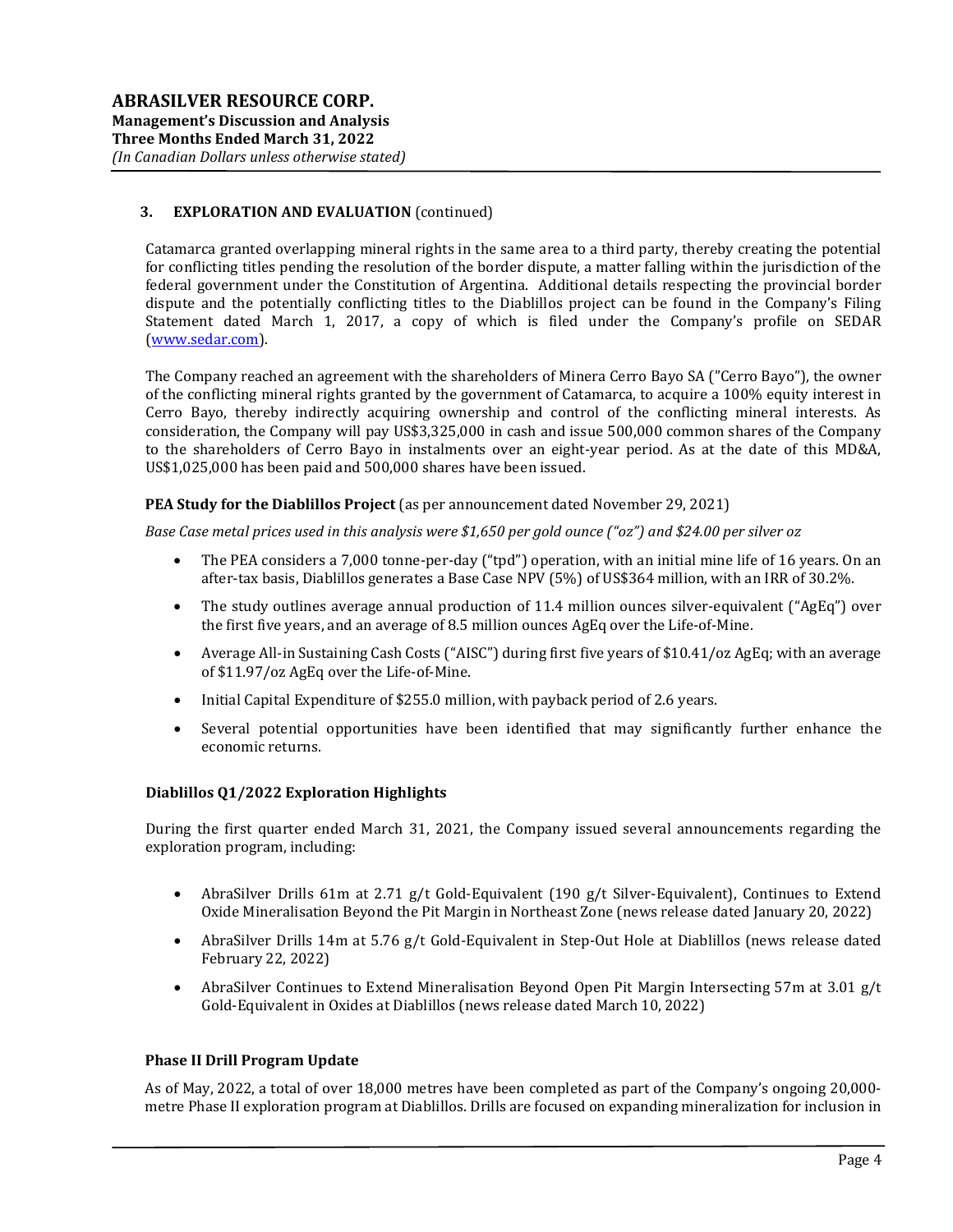## 3. EXPLORATION AND EVALUATION (continued)

Catamarca granted overlapping mineral rights in the same area to a third party, thereby creating the potential for conflicting titles pending the resolution of the border dispute, a matter falling within the jurisdiction of the federal government under the Constitution of Argentina. Additional details respecting the provincial border dispute and the potentially conflicting titles to the Diablillos project can be found in the Company's Filing Statement dated March 1, 2017, a copy of which is filed under the Company's profile on SEDAR (www.sedar.com).

The Company reached an agreement with the shareholders of Minera Cerro Bayo SA ("Cerro Bayo"), the owner of the conflicting mineral rights granted by the government of Catamarca, to acquire a 100% equity interest in Cerro Bayo, thereby indirectly acquiring ownership and control of the conflicting mineral interests. As consideration, the Company will pay US\$3,325,000 in cash and issue 500,000 common shares of the Company to the shareholders of Cerro Bayo in instalments over an eight-year period. As at the date of this MD&A, US\$1,025,000 has been paid and 500,000 shares have been issued.

### PEA Study for the Diablillos Project (as per announcement dated November 29, 2021)

Base Case metal prices used in this analysis were \$1,650 per gold ounce ("oz") and \$24.00 per silver oz

- The PEA considers a 7,000 tonne-per-day ("tpd") operation, with an initial mine life of 16 years. On an after-tax basis, Diablillos generates a Base Case NPV (5%) of US\$364 million, with an IRR of 30.2%.
- The study outlines average annual production of 11.4 million ounces silver-equivalent ("AgEq") over the first five years, and an average of 8.5 million ounces AgEq over the Life-of-Mine.
- Average All-in Sustaining Cash Costs ("AISC") during first five years of \$10.41/oz AgEq; with an average of \$11.97/oz AgEq over the Life-of-Mine.
- Initial Capital Expenditure of \$255.0 million, with payback period of 2.6 years.
- Several potential opportunities have been identified that may significantly further enhance the economic returns.

### Diablillos Q1/2022 Exploration Highlights

During the first quarter ended March 31, 2021, the Company issued several announcements regarding the exploration program, including:

- AbraSilver Drills 61m at 2.71 g/t Gold-Equivalent (190 g/t Silver-Equivalent), Continues to Extend Oxide Mineralisation Beyond the Pit Margin in Northeast Zone (news release dated January 20, 2022)
- AbraSilver Drills 14m at 5.76 g/t Gold-Equivalent in Step-Out Hole at Diablillos (news release dated February 22, 2022)
- AbraSilver Continues to Extend Mineralisation Beyond Open Pit Margin Intersecting 57m at 3.01 g/t Gold-Equivalent in Oxides at Diablillos (news release dated March 10, 2022)

### Phase II Drill Program Update

As of May, 2022, a total of over 18,000 metres have been completed as part of the Company's ongoing 20,000 metre Phase II exploration program at Diablillos. Drills are focused on expanding mineralization for inclusion in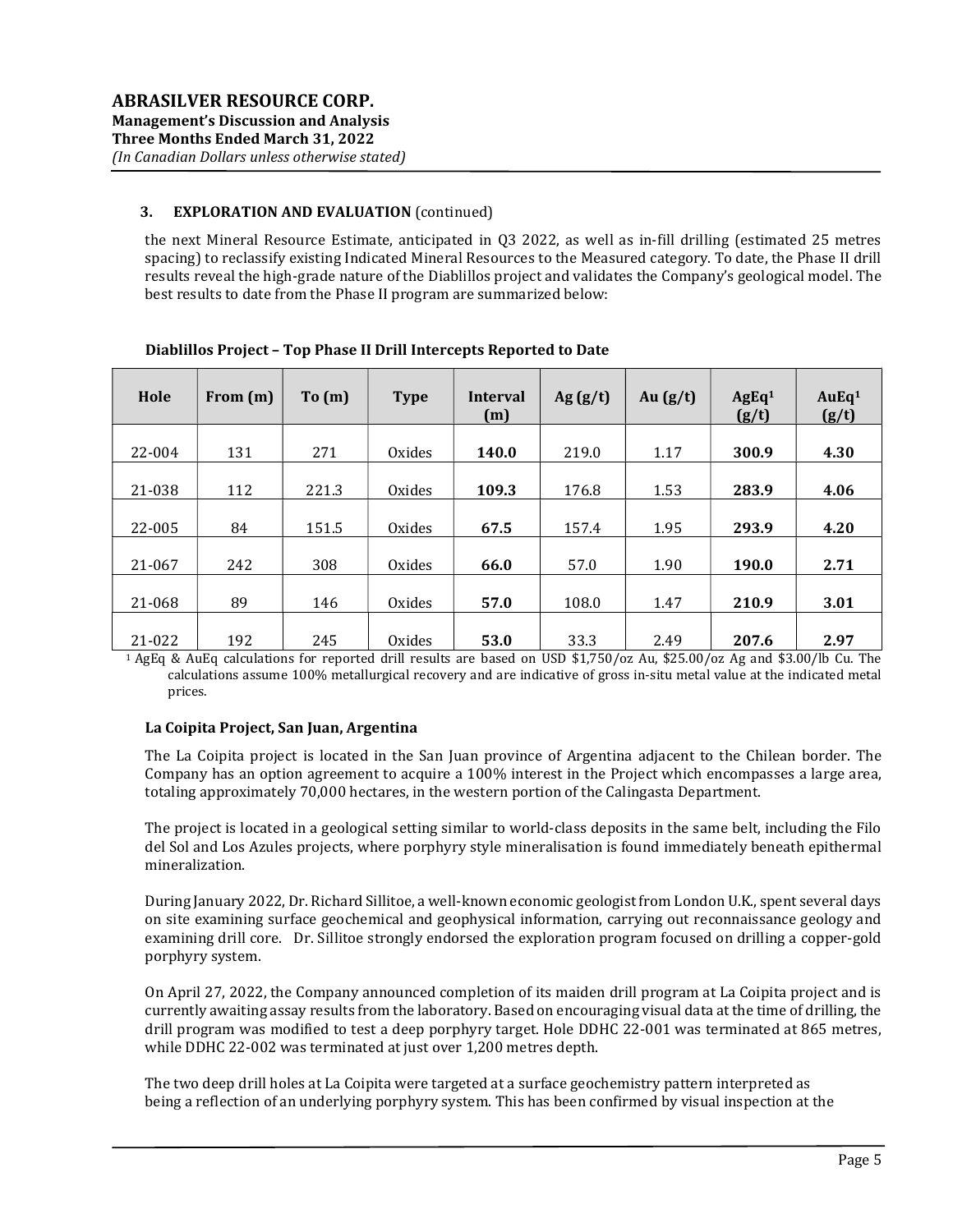## 3. EXPLORATION AND EVALUATION (continued)

the next Mineral Resource Estimate, anticipated in Q3 2022, as well as in-fill drilling (estimated 25 metres spacing) to reclassify existing Indicated Mineral Resources to the Measured category. To date, the Phase II drill results reveal the high-grade nature of the Diablillos project and validates the Company's geological model. The best results to date from the Phase II program are summarized below:

| Hole   | From $(m)$ | To(m) | <b>Type</b> | <b>Interval</b><br>(m) | Ag $(g/t)$ | Au $(g/t)$ | AgEq <sup>1</sup><br>(g/t) | AuEq <sup>1</sup><br>(g/t) |
|--------|------------|-------|-------------|------------------------|------------|------------|----------------------------|----------------------------|
| 22-004 | 131        | 271   | Oxides      | 140.0                  | 219.0      | 1.17       | 300.9                      | 4.30                       |
| 21-038 | 112        | 221.3 | Oxides      | 109.3                  | 176.8      | 1.53       | 283.9                      | 4.06                       |
| 22-005 | 84         | 151.5 | Oxides      | 67.5                   | 157.4      | 1.95       | 293.9                      | 4.20                       |
| 21-067 | 242        | 308   | Oxides      | 66.0                   | 57.0       | 1.90       | 190.0                      | 2.71                       |
| 21-068 | 89         | 146   | Oxides      | 57.0                   | 108.0      | 1.47       | 210.9                      | 3.01                       |
| 21-022 | 192        | 245   | Oxides      | 53.0                   | 33.3       | 2.49       | 207.6                      | 2.97                       |

Diablillos Project – Top Phase II Drill Intercepts Reported to Date

<sup>1</sup>AgEq & AuEq calculations for reported drill results are based on USD \$1,750/oz Au, \$25.00/oz Ag and \$3.00/lb Cu. The calculations assume 100% metallurgical recovery and are indicative of gross in-situ metal value at the indicated metal prices.

### La Coipita Project, San Juan, Argentina

The La Coipita project is located in the San Juan province of Argentina adjacent to the Chilean border. The Company has an option agreement to acquire a 100% interest in the Project which encompasses a large area, totaling approximately 70,000 hectares, in the western portion of the Calingasta Department.

The project is located in a geological setting similar to world-class deposits in the same belt, including the Filo del Sol and Los Azules projects, where porphyry style mineralisation is found immediately beneath epithermal mineralization.

During January 2022, Dr. Richard Sillitoe, a well-known economic geologist from London U.K., spent several days on site examining surface geochemical and geophysical information, carrying out reconnaissance geology and examining drill core. Dr. Sillitoe strongly endorsed the exploration program focused on drilling a copper-gold porphyry system.

On April 27, 2022, the Company announced completion of its maiden drill program at La Coipita project and is currently awaiting assay results from the laboratory. Based on encouraging visual data at the time of drilling, the drill program was modified to test a deep porphyry target. Hole DDHC 22-001 was terminated at 865 metres, while DDHC 22-002 was terminated at just over 1,200 metres depth.

The two deep drill holes at La Coipita were targeted at a surface geochemistry pattern interpreted as being a reflection of an underlying porphyry system. This has been confirmed by visual inspection at the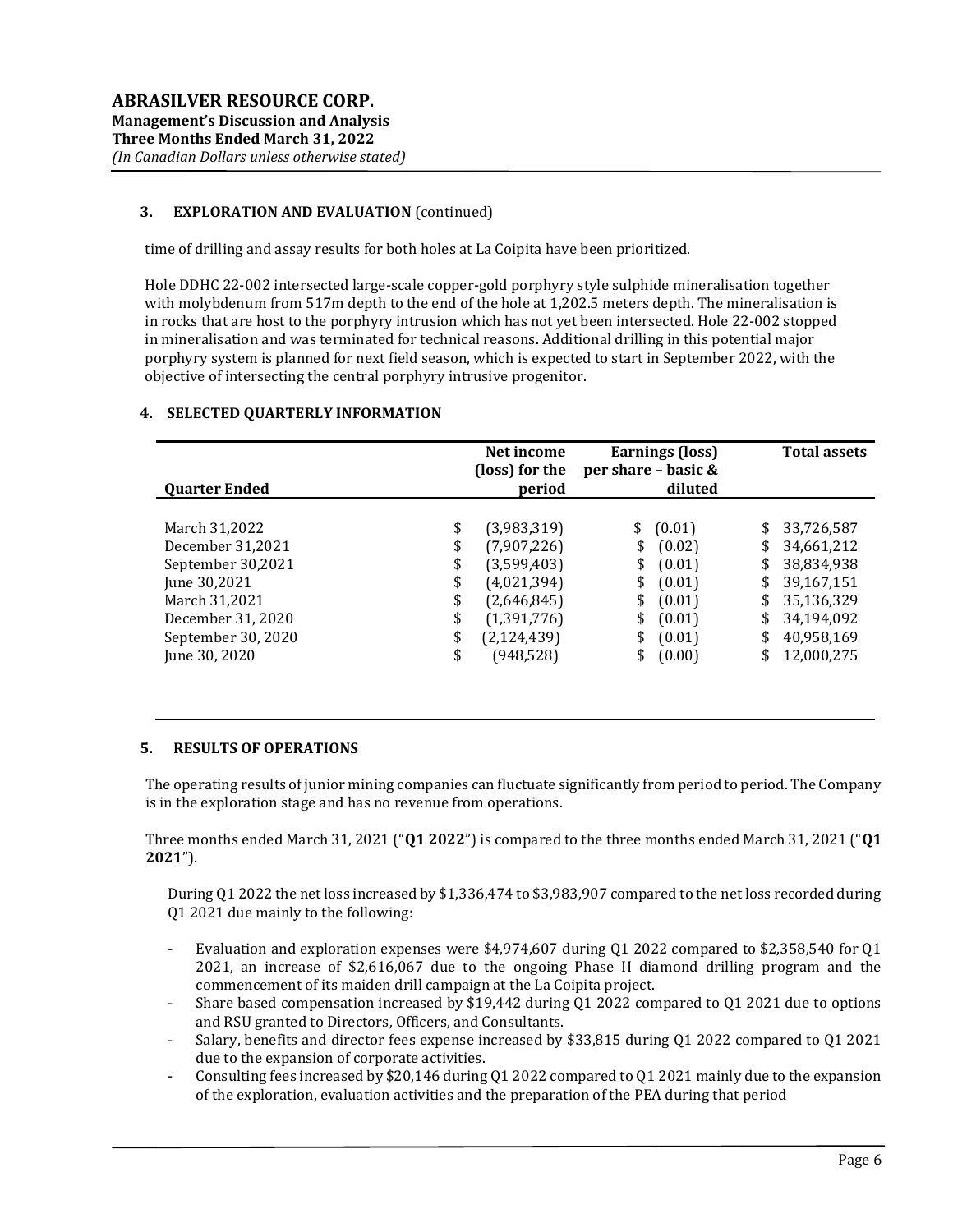# 3. EXPLORATION AND EVALUATION (continued)

time of drilling and assay results for both holes at La Coipita have been prioritized.

Hole DDHC 22-002 intersected large-scale copper-gold porphyry style sulphide mineralisation together with molybdenum from 517m depth to the end of the hole at 1,202.5 meters depth. The mineralisation is in rocks that are host to the porphyry intrusion which has not yet been intersected. Hole 22-002 stopped in mineralisation and was terminated for technical reasons. Additional drilling in this potential major porphyry system is planned for next field season, which is expected to start in September 2022, with the objective of intersecting the central porphyry intrusive progenitor.

## 4. SELECTED QUARTERLY INFORMATION

| <b>Quarter Ended</b>                                                                                                                                                                                | Net income<br>(loss) for the<br>period                                                                                | Earnings (loss)<br>per share - basic &<br>diluted                                                                            | <b>Total assets</b>                                                                                                                                          |
|-----------------------------------------------------------------------------------------------------------------------------------------------------------------------------------------------------|-----------------------------------------------------------------------------------------------------------------------|------------------------------------------------------------------------------------------------------------------------------|--------------------------------------------------------------------------------------------------------------------------------------------------------------|
| \$<br>March 31,2022<br>December 31,2021<br>\$<br>September 30,2021<br>\$<br>June 30,2021<br>\$<br>March 31,2021<br>\$<br>December 31, 2020<br>\$<br>September 30, 2020<br>\$<br>\$<br>June 30, 2020 | (3,983,319)<br>(7,907,226)<br>(3,599,403)<br>(4,021,394)<br>(2,646,845)<br>(1,391,776)<br>(2, 124, 439)<br>(948, 528) | \$<br>(0.01)<br>(0.02)<br>\$<br>\$<br>(0.01)<br>(0.01)<br>\$<br>\$<br>(0.01)<br>\$<br>(0.01)<br>\$<br>(0.01)<br>\$<br>(0.00) | \$<br>33,726,587<br>34,661,212<br>\$<br>38,834,938<br>\$<br>39,167,151<br>\$<br>35,136,329<br>\$<br>\$<br>34,194,092<br>40,958,169<br>\$<br>12,000,275<br>\$ |

### 5. RESULTS OF OPERATIONS

The operating results of junior mining companies can fluctuate significantly from period to period. The Company is in the exploration stage and has no revenue from operations.

Three months ended March 31, 2021 ("Q1 2022") is compared to the three months ended March 31, 2021 ("Q1 2021").

During Q1 2022 the net loss increased by \$1,336,474 to \$3,983,907 compared to the net loss recorded during Q1 2021 due mainly to the following:

- Evaluation and exploration expenses were \$4,974,607 during Q1 2022 compared to \$2,358,540 for Q1 2021, an increase of \$2,616,067 due to the ongoing Phase II diamond drilling program and the commencement of its maiden drill campaign at the La Coipita project.
- Share based compensation increased by \$19,442 during Q1 2022 compared to Q1 2021 due to options and RSU granted to Directors, Officers, and Consultants.
- Salary, benefits and director fees expense increased by \$33,815 during Q1 2022 compared to Q1 2021 due to the expansion of corporate activities.
- Consulting fees increased by \$20,146 during Q1 2022 compared to Q1 2021 mainly due to the expansion of the exploration, evaluation activities and the preparation of the PEA during that period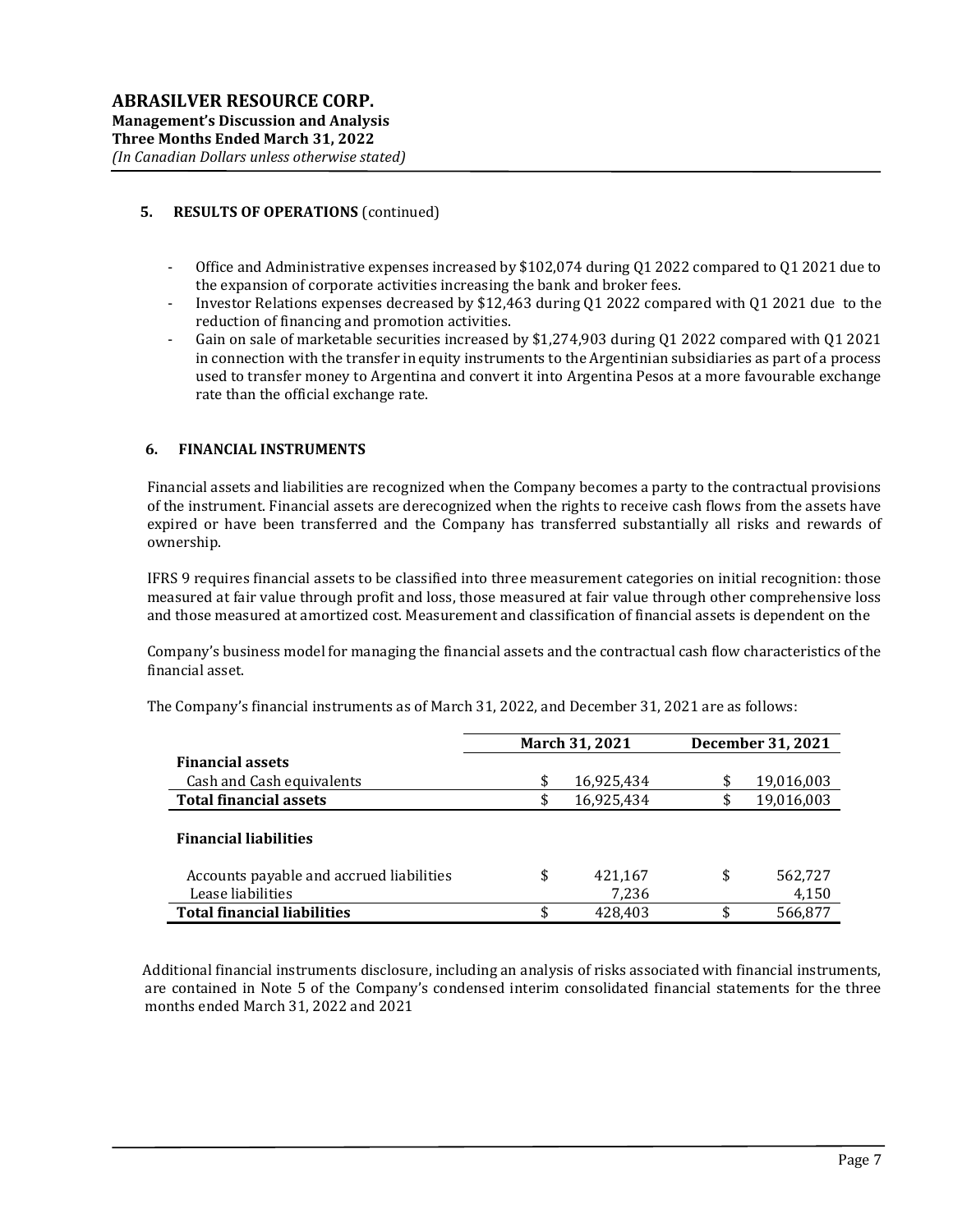## 5. RESULTS OF OPERATIONS (continued)

- Office and Administrative expenses increased by \$102,074 during Q1 2022 compared to Q1 2021 due to the expansion of corporate activities increasing the bank and broker fees.
- Investor Relations expenses decreased by \$12,463 during Q1 2022 compared with Q1 2021 due to the reduction of financing and promotion activities.
- Gain on sale of marketable securities increased by \$1,274,903 during Q1 2022 compared with Q1 2021 in connection with the transfer in equity instruments to the Argentinian subsidiaries as part of a process used to transfer money to Argentina and convert it into Argentina Pesos at a more favourable exchange rate than the official exchange rate.

### 6. FINANCIAL INSTRUMENTS

Financial assets and liabilities are recognized when the Company becomes a party to the contractual provisions of the instrument. Financial assets are derecognized when the rights to receive cash flows from the assets have expired or have been transferred and the Company has transferred substantially all risks and rewards of ownership.

IFRS 9 requires financial assets to be classified into three measurement categories on initial recognition: those measured at fair value through profit and loss, those measured at fair value through other comprehensive loss and those measured at amortized cost. Measurement and classification of financial assets is dependent on the

Company's business model for managing the financial assets and the contractual cash flow characteristics of the financial asset.

|                                          | March 31, 2021 |            | December 31, 2021 |
|------------------------------------------|----------------|------------|-------------------|
| <b>Financial assets</b>                  |                |            |                   |
| Cash and Cash equivalents                | \$             | 16,925,434 | \$<br>19,016,003  |
| <b>Total financial assets</b>            | \$             | 16,925,434 | 19,016,003        |
| <b>Financial liabilities</b>             |                |            |                   |
| Accounts payable and accrued liabilities | \$             | 421,167    | \$<br>562,727     |
| Lease liabilities                        |                | 7,236      | 4,150             |
| <b>Total financial liabilities</b>       | \$             | 428.403    | \$<br>566,877     |

The Company's financial instruments as of March 31, 2022, and December 31, 2021 are as follows:

 Additional financial instruments disclosure, including an analysis of risks associated with financial instruments, are contained in Note 5 of the Company's condensed interim consolidated financial statements for the three months ended March 31, 2022 and 2021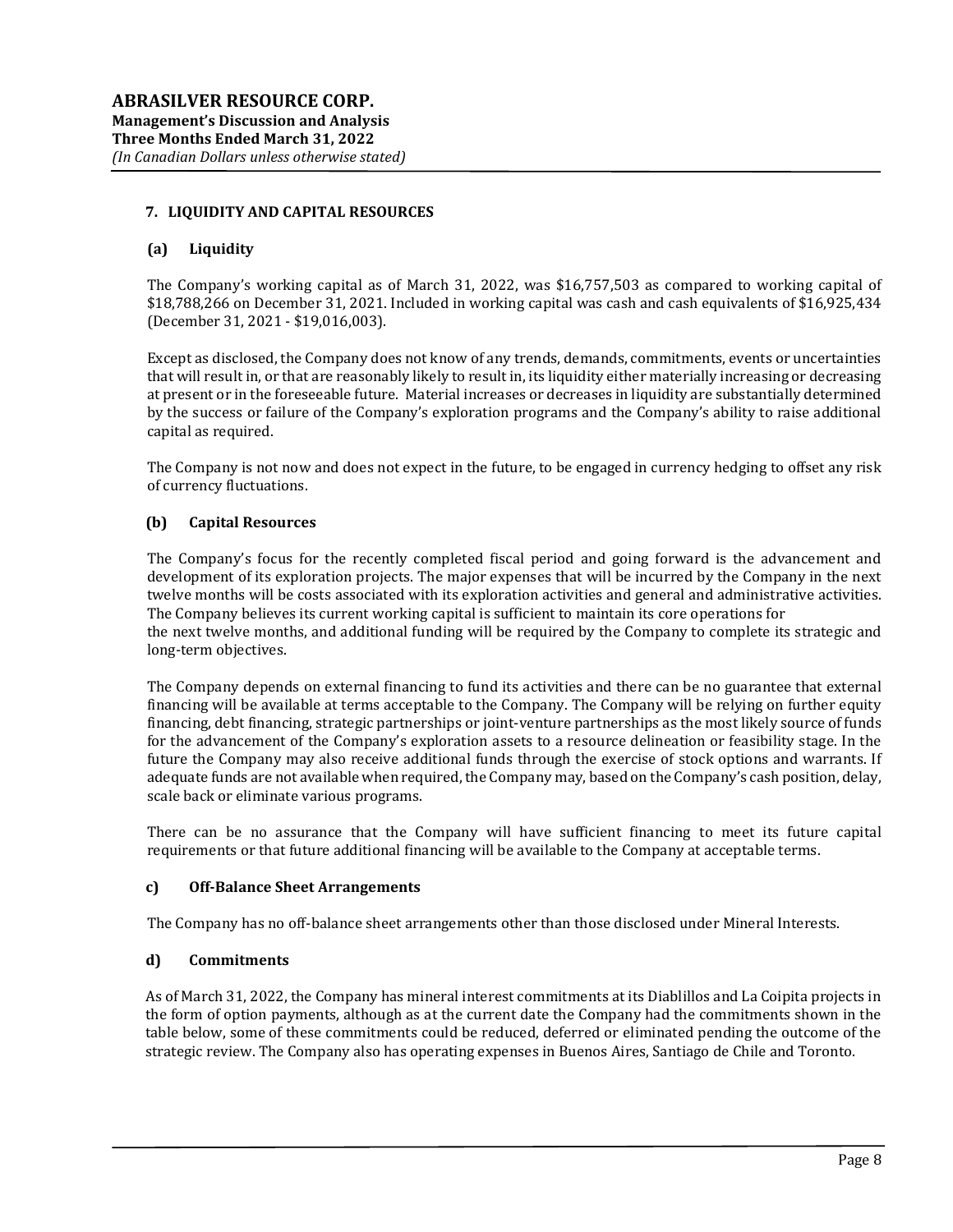## 7. LIQUIDITY AND CAPITAL RESOURCES

## (a) Liquidity

The Company's working capital as of March 31, 2022, was \$16,757,503 as compared to working capital of \$18,788,266 on December 31, 2021. Included in working capital was cash and cash equivalents of \$16,925,434 (December 31, 2021 - \$19,016,003).

Except as disclosed, the Company does not know of any trends, demands, commitments, events or uncertainties that will result in, or that are reasonably likely to result in, its liquidity either materially increasing or decreasing at present or in the foreseeable future. Material increases or decreases in liquidity are substantially determined by the success or failure of the Company's exploration programs and the Company's ability to raise additional capital as required.

The Company is not now and does not expect in the future, to be engaged in currency hedging to offset any risk of currency fluctuations.

## (b) Capital Resources

The Company's focus for the recently completed fiscal period and going forward is the advancement and development of its exploration projects. The major expenses that will be incurred by the Company in the next twelve months will be costs associated with its exploration activities and general and administrative activities. The Company believes its current working capital is sufficient to maintain its core operations for the next twelve months, and additional funding will be required by the Company to complete its strategic and long-term objectives.

The Company depends on external financing to fund its activities and there can be no guarantee that external financing will be available at terms acceptable to the Company. The Company will be relying on further equity financing, debt financing, strategic partnerships or joint-venture partnerships as the most likely source of funds for the advancement of the Company's exploration assets to a resource delineation or feasibility stage. In the future the Company may also receive additional funds through the exercise of stock options and warrants. If adequate funds are not available when required, the Company may, based on the Company's cash position, delay, scale back or eliminate various programs.

There can be no assurance that the Company will have sufficient financing to meet its future capital requirements or that future additional financing will be available to the Company at acceptable terms.

### c) Off-Balance Sheet Arrangements

The Company has no off-balance sheet arrangements other than those disclosed under Mineral Interests.

## d) Commitments

As of March 31, 2022, the Company has mineral interest commitments at its Diablillos and La Coipita projects in the form of option payments, although as at the current date the Company had the commitments shown in the table below, some of these commitments could be reduced, deferred or eliminated pending the outcome of the strategic review. The Company also has operating expenses in Buenos Aires, Santiago de Chile and Toronto.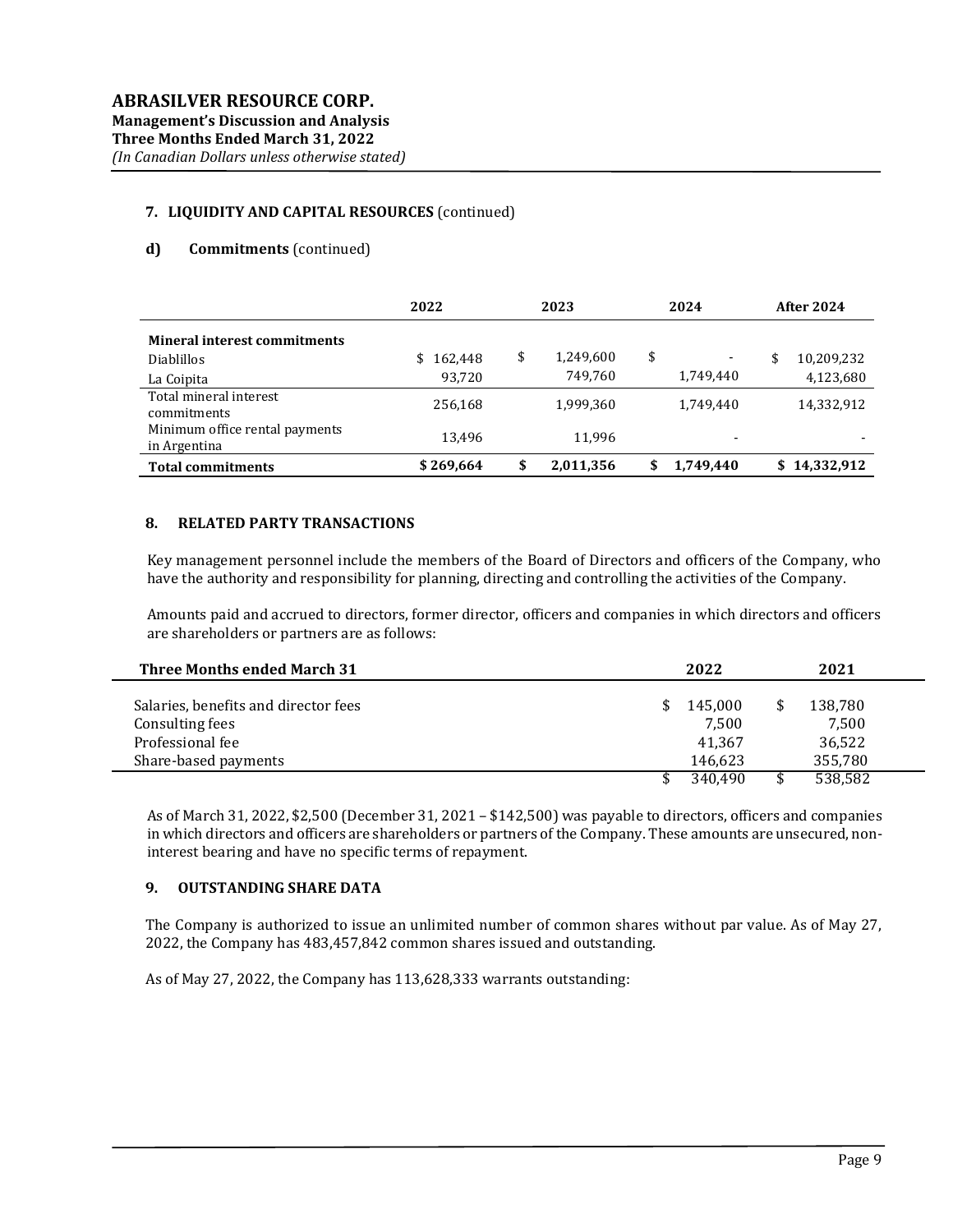# 7. LIQUIDITY AND CAPITAL RESOURCES (continued)

## d) Commitments (continued)

|                                                                        | 2022                    | 2023 |                      | 2024 |                          | <b>After 2024</b> |                         |
|------------------------------------------------------------------------|-------------------------|------|----------------------|------|--------------------------|-------------------|-------------------------|
| <b>Mineral interest commitments</b><br><b>Diablillos</b><br>La Coipita | 162.448<br>\$<br>93.720 | \$   | 1,249,600<br>749,760 | \$   | 1,749,440                | \$                | 10,209,232<br>4,123,680 |
| Total mineral interest<br>commitments                                  | 256,168                 |      | 1,999,360            |      | 1.749.440                |                   | 14,332,912              |
| Minimum office rental payments<br>in Argentina                         | 13.496                  |      | 11,996               |      | $\overline{\phantom{a}}$ |                   |                         |
| <b>Total commitments</b>                                               | \$269,664               | \$   | 2,011,356            | \$   | 1,749,440                | \$                | 14,332,912              |

### 8. RELATED PARTY TRANSACTIONS

Key management personnel include the members of the Board of Directors and officers of the Company, who have the authority and responsibility for planning, directing and controlling the activities of the Company.

Amounts paid and accrued to directors, former director, officers and companies in which directors and officers are shareholders or partners are as follows:

| <b>Three Months ended March 31</b>   | 2022    | 2021    |  |
|--------------------------------------|---------|---------|--|
| Salaries, benefits and director fees | 145.000 | 138,780 |  |
| Consulting fees                      | 7,500   | 7,500   |  |
| Professional fee                     | 41.367  | 36,522  |  |
| Share-based payments                 | 146.623 | 355,780 |  |
|                                      | 340.490 | 538,582 |  |

As of March 31, 2022, \$2,500 (December 31, 2021 – \$142,500) was payable to directors, officers and companies in which directors and officers are shareholders or partners of the Company. These amounts are unsecured, noninterest bearing and have no specific terms of repayment.

### 9. OUTSTANDING SHARE DATA

The Company is authorized to issue an unlimited number of common shares without par value. As of May 27, 2022, the Company has 483,457,842 common shares issued and outstanding.

As of May 27, 2022, the Company has 113,628,333 warrants outstanding: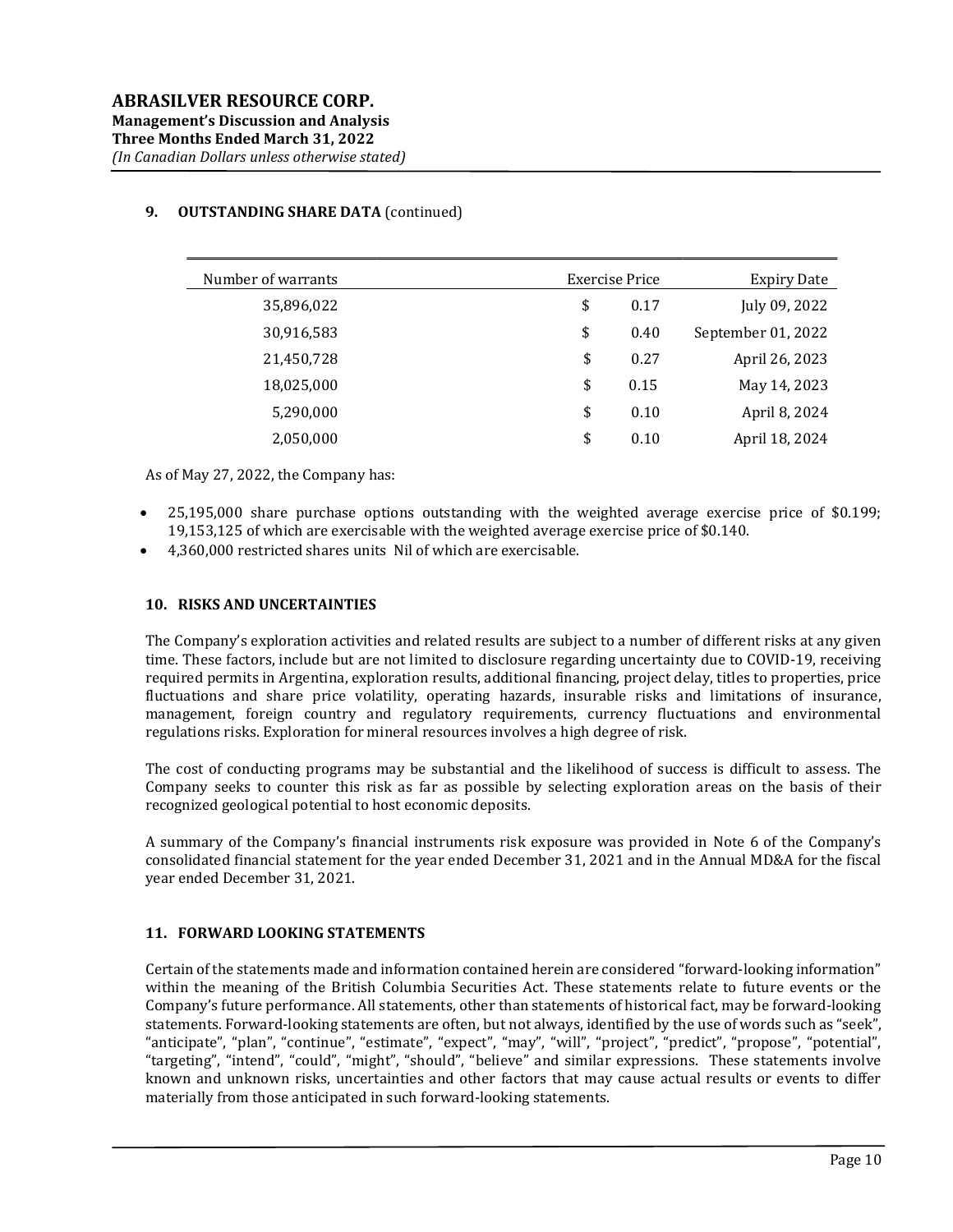## 9. OUTSTANDING SHARE DATA (continued)

| Number of warrants |    | Exercise Price | <b>Expiry Date</b> |  |  |
|--------------------|----|----------------|--------------------|--|--|
| 35,896,022         | \$ | 0.17           | July 09, 2022      |  |  |
| 30,916,583         | \$ | 0.40           | September 01, 2022 |  |  |
| 21,450,728         | \$ | 0.27           | April 26, 2023     |  |  |
| 18,025,000         | \$ | 0.15           | May 14, 2023       |  |  |
| 5,290,000          | \$ | 0.10           | April 8, 2024      |  |  |
| 2,050,000          | \$ | 0.10           | April 18, 2024     |  |  |

As of May 27, 2022, the Company has:

- 25,195,000 share purchase options outstanding with the weighted average exercise price of \$0.199; 19,153,125 of which are exercisable with the weighted average exercise price of \$0.140.
- 4,360,000 restricted shares units Nil of which are exercisable.

### 10. RISKS AND UNCERTAINTIES

The Company's exploration activities and related results are subject to a number of different risks at any given time. These factors, include but are not limited to disclosure regarding uncertainty due to COVID-19, receiving required permits in Argentina, exploration results, additional financing, project delay, titles to properties, price fluctuations and share price volatility, operating hazards, insurable risks and limitations of insurance, management, foreign country and regulatory requirements, currency fluctuations and environmental regulations risks. Exploration for mineral resources involves a high degree of risk.

The cost of conducting programs may be substantial and the likelihood of success is difficult to assess. The Company seeks to counter this risk as far as possible by selecting exploration areas on the basis of their recognized geological potential to host economic deposits.

A summary of the Company's financial instruments risk exposure was provided in Note 6 of the Company's consolidated financial statement for the year ended December 31, 2021 and in the Annual MD&A for the fiscal year ended December 31, 2021.

### 11. FORWARD LOOKING STATEMENTS

Certain of the statements made and information contained herein are considered "forward-looking information" within the meaning of the British Columbia Securities Act. These statements relate to future events or the Company's future performance. All statements, other than statements of historical fact, may be forward-looking statements. Forward-looking statements are often, but not always, identified by the use of words such as "seek", "anticipate", "plan", "continue", "estimate", "expect", "may", "will", "project", "predict", "propose", "potential", "targeting", "intend", "could", "might", "should", "believe" and similar expressions. These statements involve known and unknown risks, uncertainties and other factors that may cause actual results or events to differ materially from those anticipated in such forward-looking statements.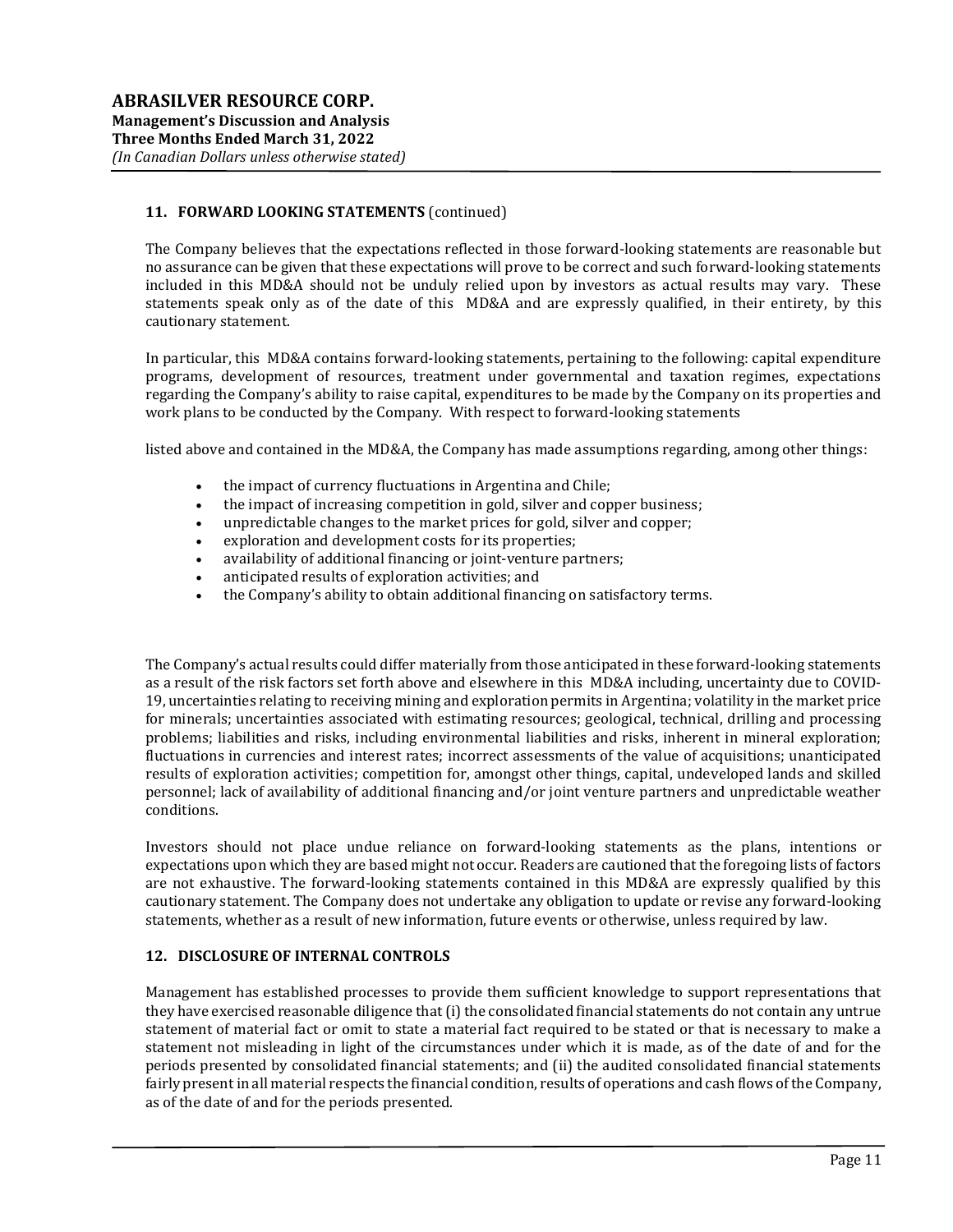# 11. FORWARD LOOKING STATEMENTS (continued)

The Company believes that the expectations reflected in those forward-looking statements are reasonable but no assurance can be given that these expectations will prove to be correct and such forward-looking statements included in this MD&A should not be unduly relied upon by investors as actual results may vary. These statements speak only as of the date of this MD&A and are expressly qualified, in their entirety, by this cautionary statement.

In particular, this MD&A contains forward-looking statements, pertaining to the following: capital expenditure programs, development of resources, treatment under governmental and taxation regimes, expectations regarding the Company's ability to raise capital, expenditures to be made by the Company on its properties and work plans to be conducted by the Company. With respect to forward-looking statements

listed above and contained in the MD&A, the Company has made assumptions regarding, among other things:

- the impact of currency fluctuations in Argentina and Chile;
- the impact of increasing competition in gold, silver and copper business;
- unpredictable changes to the market prices for gold, silver and copper;
- exploration and development costs for its properties;
- availability of additional financing or joint-venture partners;
- anticipated results of exploration activities; and
- the Company's ability to obtain additional financing on satisfactory terms.

The Company's actual results could differ materially from those anticipated in these forward-looking statements as a result of the risk factors set forth above and elsewhere in this MD&A including, uncertainty due to COVID-19, uncertainties relating to receiving mining and exploration permits in Argentina; volatility in the market price for minerals; uncertainties associated with estimating resources; geological, technical, drilling and processing problems; liabilities and risks, including environmental liabilities and risks, inherent in mineral exploration; fluctuations in currencies and interest rates; incorrect assessments of the value of acquisitions; unanticipated results of exploration activities; competition for, amongst other things, capital, undeveloped lands and skilled personnel; lack of availability of additional financing and/or joint venture partners and unpredictable weather conditions.

Investors should not place undue reliance on forward-looking statements as the plans, intentions or expectations upon which they are based might not occur. Readers are cautioned that the foregoing lists of factors are not exhaustive. The forward-looking statements contained in this MD&A are expressly qualified by this cautionary statement. The Company does not undertake any obligation to update or revise any forward-looking statements, whether as a result of new information, future events or otherwise, unless required by law.

#### 12. DISCLOSURE OF INTERNAL CONTROLS

Management has established processes to provide them sufficient knowledge to support representations that they have exercised reasonable diligence that (i) the consolidated financial statements do not contain any untrue statement of material fact or omit to state a material fact required to be stated or that is necessary to make a statement not misleading in light of the circumstances under which it is made, as of the date of and for the periods presented by consolidated financial statements; and (ii) the audited consolidated financial statements fairly present in all material respects the financial condition, results of operations and cash flows of the Company, as of the date of and for the periods presented.